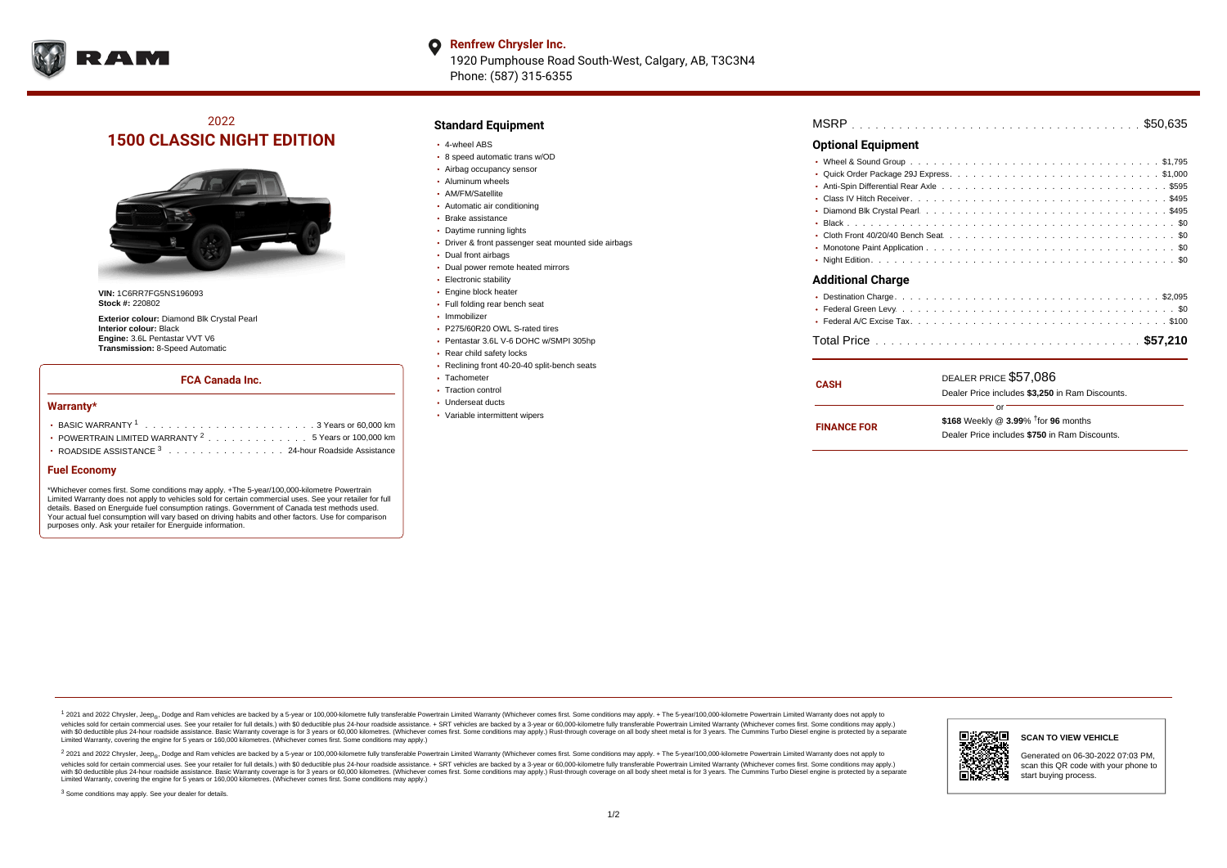

#### **Renfrew Chrysler Inc.**  $\bullet$ 1920 Pumphouse Road South-West, Calgary, AB, T3C3N4 Phone: (587) 315-6355

# 2022 **1500 CLASSIC NIGHT EDITION**



**VIN:** 1C6RR7FG5NS196093 **Stock #:** 220802

**Exterior colour:** Diamond Blk Crystal Pearl **Interior colour:** Black **Engine:** 3.6L Pentastar VVT V6 **Transmission:** 8-Speed Automatic

### **FCA Canada Inc.**

#### **Warranty\***

| POWERTRAIN LIMITED WARRANTY $2, \ldots, \ldots, \ldots, \ldots, 5$ Years or 100.000 km |  |  |  |  |  |
|----------------------------------------------------------------------------------------|--|--|--|--|--|
| • ROADSIDE ASSISTANCE 3 24-hour Roadside Assistance                                    |  |  |  |  |  |

### **Fuel Economy**

\*Whichever comes first. Some conditions may apply. +The 5-year/100,000-kilometre Powertrain Limited Warranty does not apply to vehicles sold for certain commercial uses. See your retailer for full details. Based on Energuide fuel consumption ratings. Government of Canada test methods used. Your actual fuel consumption will vary based on driving habits and other factors. Use for comparison purposes only. Ask your retailer for Energuide information.

# **Standard Equipment**

- 4-wheel ABS
- 8 speed automatic trans w/OD
- Airbag occupancy sensor
- Aluminum wheels
- AM/FM/Satellite
- Automatic air conditioning
- Brake assistance
- Daytime running lights
- Driver & front passenger seat mounted side airbags
- Dual front airbags
- Dual power remote heated mirrors
- Electronic stability
- Engine block heater
- Full folding rear bench seat
- Immobilizer
- P275/60R20 OWL S-rated tires
- Pentastar 3.6L V-6 DOHC w/SMPI 305hp
- Rear child safety locks
- Reclining front 40-20-40 split-bench seats
- Tachometer
- Traction control Underseat ducts
- 
- Variable intermittent wipers

| <b>MSRP</b> |  |  |  |  |  |  |  |  |  |  |  |  |  |  |  |  |  |  |  |  |  |  |  |  |  |  |  |  |  |  |  |  |  |  |  |  |  |  |
|-------------|--|--|--|--|--|--|--|--|--|--|--|--|--|--|--|--|--|--|--|--|--|--|--|--|--|--|--|--|--|--|--|--|--|--|--|--|--|--|
|-------------|--|--|--|--|--|--|--|--|--|--|--|--|--|--|--|--|--|--|--|--|--|--|--|--|--|--|--|--|--|--|--|--|--|--|--|--|--|--|

## **Optional Equipment**

| <b>Additional Charge</b>     |  |
|------------------------------|--|
|                              |  |
| $\bullet$ Eederal Green Levy |  |

| CASH               | DEALER PRICE \$57,086<br>Dealer Price includes \$3,250 in Ram Discounts.                                  |  |  |  |  |  |  |  |
|--------------------|-----------------------------------------------------------------------------------------------------------|--|--|--|--|--|--|--|
| <b>FINANCE FOR</b> | Ωr<br>\$168 Weekly @ $3.99\%$ <sup>†</sup> for 96 months<br>Dealer Price includes \$750 in Ram Discounts. |  |  |  |  |  |  |  |

1 2021 and 2022 Chrysler, Jeep<sub>er</sub>, Dodge and Ram vehicles are backed by a 5-year or 100,000-kilometre fully transferable Powertrain Limited Warranty (Whichever comes first. Some conditions may apply. + The 5-year/100,000vehicles sold for certain commercial uses. See your retailer for full details.) with \$0 deductible plus 24-hour roadside assistance. + SRT vehicles are backed by a 3-year or 60,000-kilometre fully transferable Powertrain L versus and contract the mean of the contract of the contract with a contract with a contract the contract of the search of the contract and a control of the contract and contract and control of the search of the search of Limited Warranty, covering the engine for 5 years or 160,000 kilometres. (Whichever comes first. Some conditions may apply.)

<sup>2</sup> 2021 and 2022 Chrysler, Jeep<sub>®</sub>, Dodge and Ram vehicles are backed by a 5-year or 100,000-kilometre fully transferable Powertrain Limited Warranty (Whichever comes first. Some conditions may apply. + The 5-year/100,000 vehicles sold for certain commercial uses. See your retailer for full details.) with SO deductible plus 24-hour roadside assistance. + SRT vehicles are backed by a 3-year or 60.000-kilometre fully transferable Powertrain. with S0 deductible plus 24-hour roadside assistance. Basic Warranty coverage is for 3 years or 60,000 kilometres. (Whichever comes first. Some conditions may apply.) Rust-through coverage on all body sheet metal is for 3 y



#### **SCAN TO VIEW VEHICLE**

Generated on 06-30-2022 07:03 PM, scan this QR code with your phone to start buying process.

<sup>3</sup> Some conditions may apply. See your dealer for details.